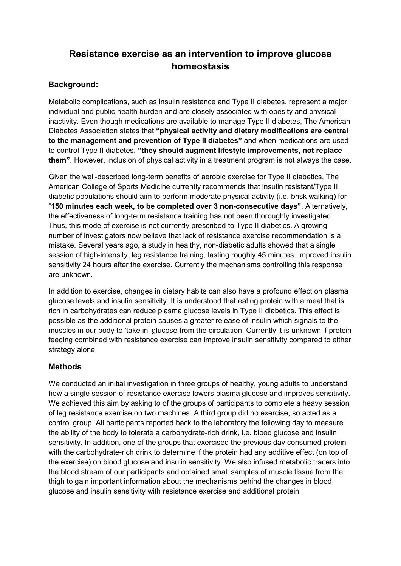# **Resistance exercise as an intervention to improve glucose homeostasis**

# **Background:**

Metabolic complications, such as insulin resistance and Type II diabetes, represent a major individual and public health burden and are closely associated with obesity and physical inactivity. Even though medications are available to manage Type II diabetes, The American Diabetes Association states that **"physical activity and dietary modifications are central to the management and prevention of Type II diabetes"** and when medications are used to control Type II diabetes, **"they should augment lifestyle improvements, not replace them"**. However, inclusion of physical activity in a treatment program is not always the case.

Given the well-described long-term benefits of aerobic exercise for Type II diabetics, The American College of Sports Medicine currently recommends that insulin resistant/Type II diabetic populations should aim to perform moderate physical activity (i.e. brisk walking) for "**150 minutes each week, to be completed over 3 non-consecutive days"**. Alternatively, the effectiveness of long-term resistance training has not been thoroughly investigated. Thus, this mode of exercise is not currently prescribed to Type II diabetics. A growing number of investigators now believe that lack of resistance exercise recommendation is a mistake. Several years ago, a study in healthy, non-diabetic adults showed that a single session of high-intensity, leg resistance training, lasting roughly 45 minutes, improved insulin sensitivity 24 hours after the exercise. Currently the mechanisms controlling this response are unknown.

In addition to exercise, changes in dietary habits can also have a profound effect on plasma glucose levels and insulin sensitivity. It is understood that eating protein with a meal that is rich in carbohydrates can reduce plasma glucose levels in Type II diabetics. This effect is possible as the additional protein causes a greater release of insulin which signals to the muscles in our body to 'take in' glucose from the circulation. Currently it is unknown if protein feeding combined with resistance exercise can improve insulin sensitivity compared to either strategy alone.

#### **Methods**

We conducted an initial investigation in three groups of healthy, young adults to understand how a single session of resistance exercise lowers plasma glucose and improves sensitivity. We achieved this aim by asking to of the groups of participants to complete a heavy session of leg resistance exercise on two machines. A third group did no exercise, so acted as a control group. All participants reported back to the laboratory the following day to measure the ability of the body to tolerate a carbohydrate-rich drink, i.e. blood glucose and insulin sensitivity. In addition, one of the groups that exercised the previous day consumed protein with the carbohydrate-rich drink to determine if the protein had any additive effect (on top of the exercise) on blood glucose and insulin sensitivity. We also infused metabolic tracers into the blood stream of our participants and obtained small samples of muscle tissue from the thigh to gain important information about the mechanisms behind the changes in blood glucose and insulin sensitivity with resistance exercise and additional protein.